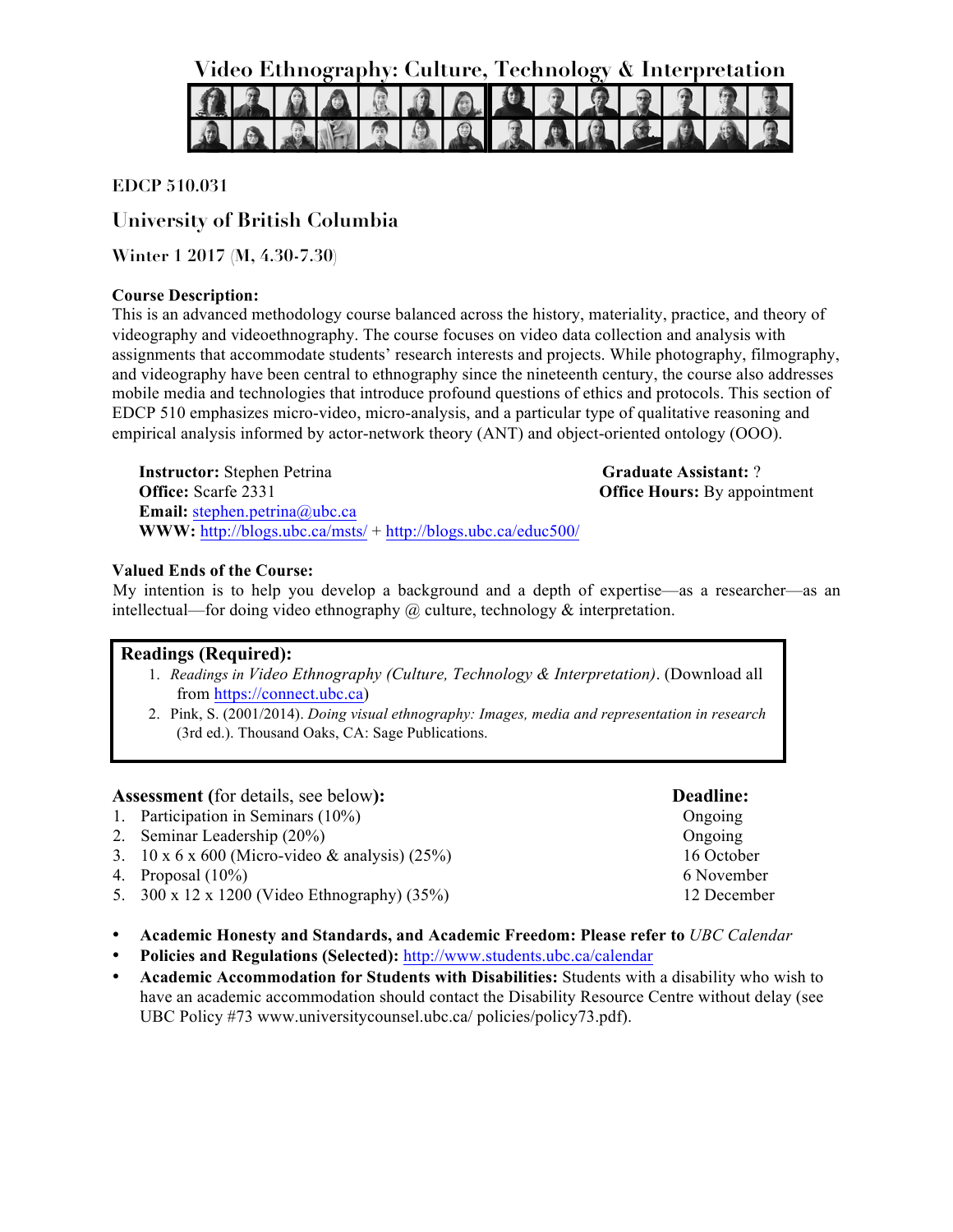**Video Ethnography: Culture, Technology & Interpretation**



## **EDCP 510.031**

# **University of British Columbia**

**Winter 1 2017 (M, 4.30-7.30)**

## **Course Description:**

This is an advanced methodology course balanced across the history, materiality, practice, and theory of videography and videoethnography. The course focuses on video data collection and analysis with assignments that accommodate students' research interests and projects. While photography, filmography, and videography have been central to ethnography since the nineteenth century, the course also addresses mobile media and technologies that introduce profound questions of ethics and protocols. This section of EDCP 510 emphasizes micro-video, micro-analysis, and a particular type of qualitative reasoning and empirical analysis informed by actor-network theory (ANT) and object-oriented ontology (OOO).

**Instructor:** Stephen Petrina **Office:** Scarfe 2331 **Email:** stephen.petrina@ubc.ca **WWW:** http://blogs.ubc.ca/msts/ + http://blogs.ubc.ca/educ500/

**Graduate Assistant:** ? **Office Hours:** By appointment

## **Valued Ends of the Course:**

My intention is to help you develop a background and a depth of expertise—as a researcher—as an intellectual—for doing video ethnography @ culture, technology & interpretation.

## **Readings (Required):**

- 1. *Readings in Video Ethnography (Culture, Technology & Interpretation)*. (Download all from https://connect.ubc.ca)
- 2. Pink, S. (2001/2014). *Doing visual ethnography: Images, media and representation in research* (3rd ed.). Thousand Oaks, CA: Sage Publications.

## **Assessment (**for details, see below**): Deadline:**

- 1. Participation in Seminars (10%)
- 2. Seminar Leadership (20%)
- 3. 10 x 6 x 600 (Micro-video & analysis) (25%)
- 4. Proposal (10%)
- 5. 300 x 12 x 1200 (Video Ethnography) (35%)
- **Academic Honesty and Standards, and Academic Freedom: Please refer to** *UBC Calendar*
- **Policies and Regulations (Selected):** http://www.students.ubc.ca/calendar
- **Academic Accommodation for Students with Disabilities:** Students with a disability who wish to have an academic accommodation should contact the Disability Resource Centre without delay (see UBC Policy #73 www.universitycounsel.ubc.ca/ policies/policy73.pdf).

16 October 6 November 12 December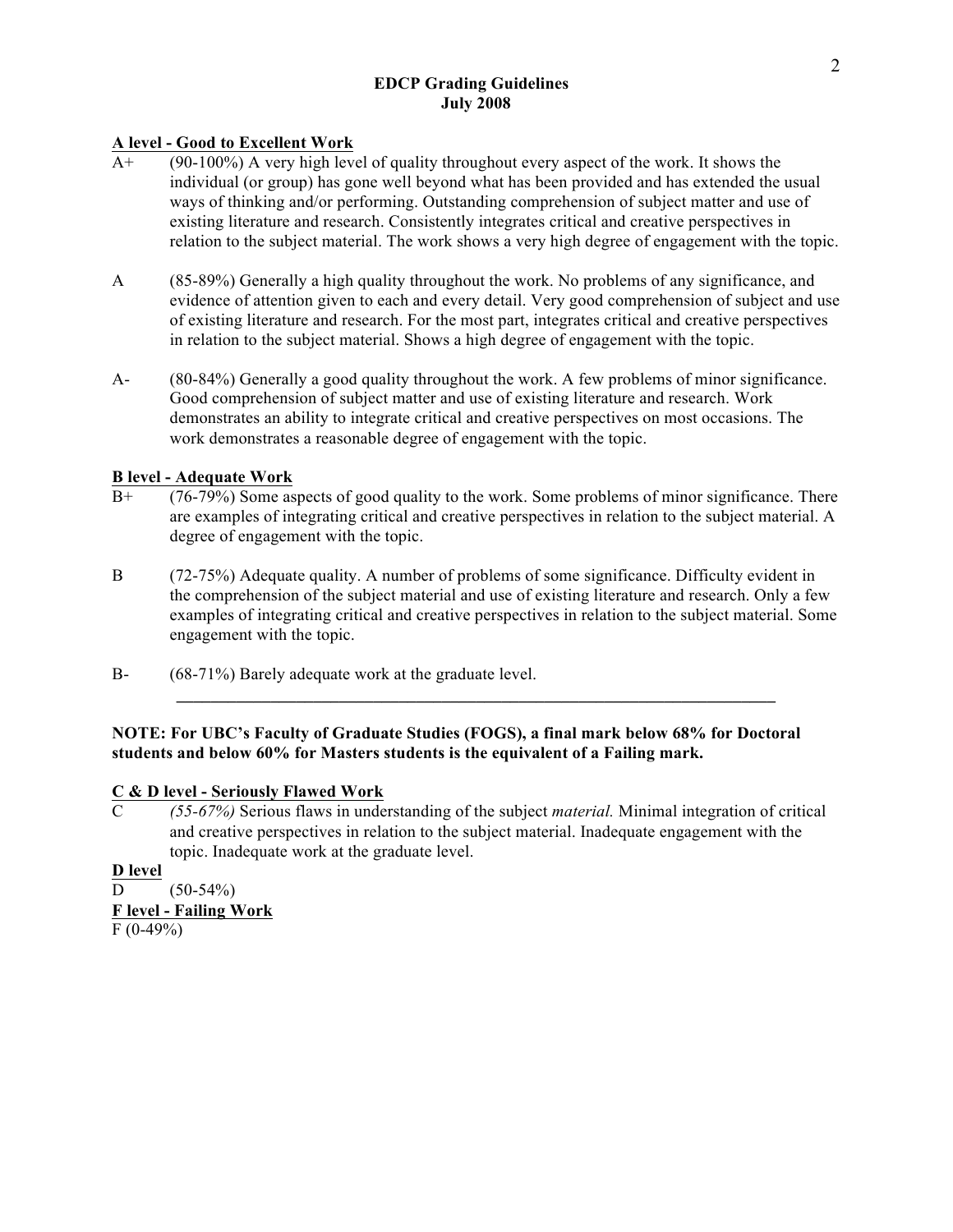## **EDCP Grading Guidelines July 2008**

## **A level - Good to Excellent Work**

- A+ (90-100%) A very high level of quality throughout every aspect of the work. It shows the individual (or group) has gone well beyond what has been provided and has extended the usual ways of thinking and/or performing. Outstanding comprehension of subject matter and use of existing literature and research. Consistently integrates critical and creative perspectives in relation to the subject material. The work shows a very high degree of engagement with the topic.
- A (85-89%) Generally a high quality throughout the work. No problems of any significance, and evidence of attention given to each and every detail. Very good comprehension of subject and use of existing literature and research. For the most part, integrates critical and creative perspectives in relation to the subject material. Shows a high degree of engagement with the topic.
- A- (80-84%) Generally a good quality throughout the work. A few problems of minor significance. Good comprehension of subject matter and use of existing literature and research. Work demonstrates an ability to integrate critical and creative perspectives on most occasions. The work demonstrates a reasonable degree of engagement with the topic.

## **B level - Adequate Work**

- B+ (76-79%) Some aspects of good quality to the work. Some problems of minor significance. There are examples of integrating critical and creative perspectives in relation to the subject material. A degree of engagement with the topic.
- B (72-75%) Adequate quality. A number of problems of some significance. Difficulty evident in the comprehension of the subject material and use of existing literature and research. Only a few examples of integrating critical and creative perspectives in relation to the subject material. Some engagement with the topic.

**\_\_\_\_\_\_\_\_\_\_\_\_\_\_\_\_\_\_\_\_\_\_\_\_\_\_\_\_\_\_\_\_\_\_\_\_\_\_\_\_\_\_\_\_\_\_\_\_\_\_\_\_\_\_\_\_\_\_\_\_\_\_\_\_\_\_\_\_\_\_**

B- (68-71%) Barely adequate work at the graduate level.

## **NOTE: For UBC's Faculty of Graduate Studies (FOGS), a final mark below 68% for Doctoral students and below 60% for Masters students is the equivalent of a Failing mark.**

## **C & D level - Seriously Flawed Work**

C *(55-67%)* Serious flaws in understanding of the subject *material.* Minimal integration of critical and creative perspectives in relation to the subject material. Inadequate engagement with the topic. Inadequate work at the graduate level.

**D level**  $D = (50-54\%)$ **F level - Failing Work**  $F(0-49%)$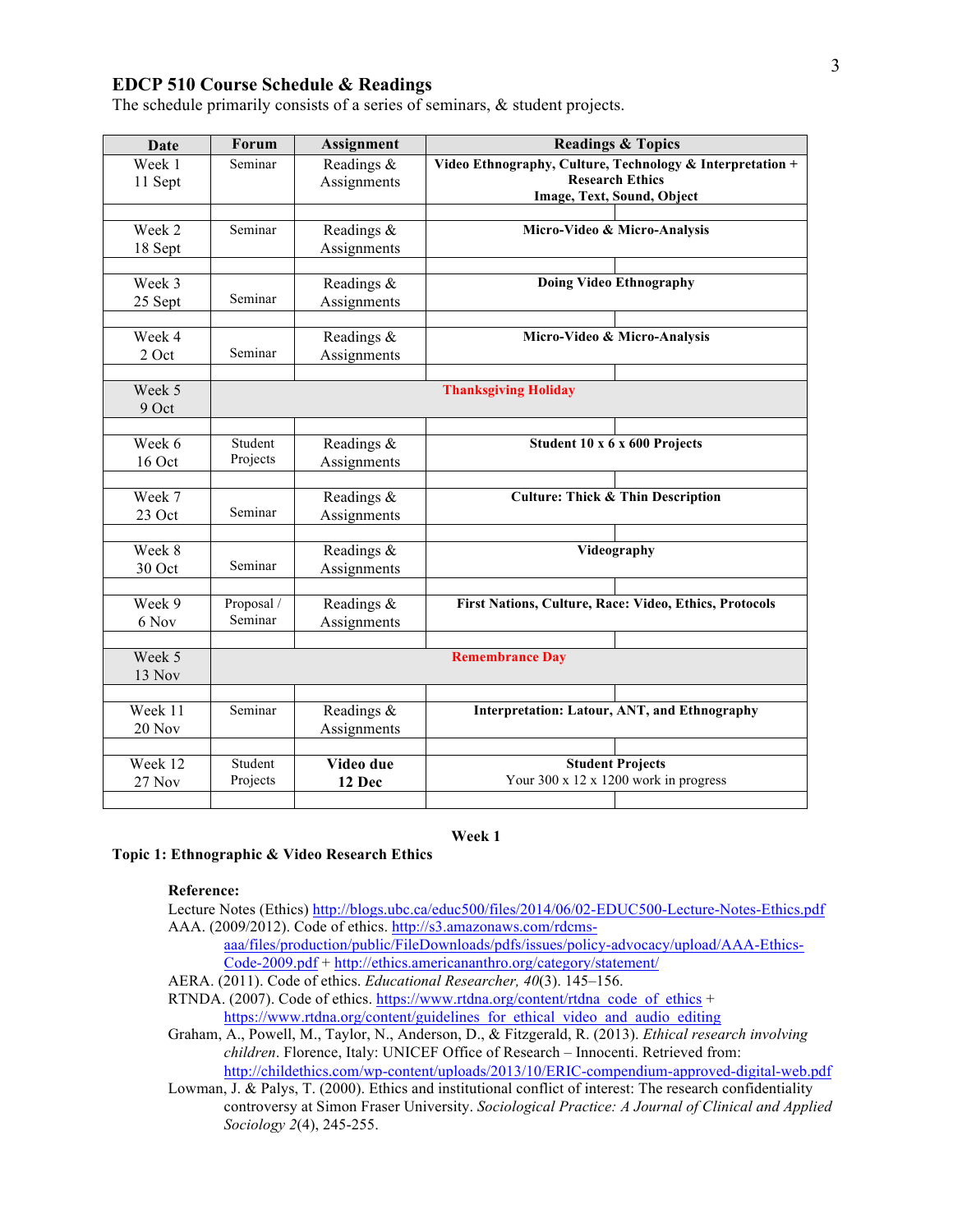## **EDCP 510 Course Schedule & Readings**

The schedule primarily consists of a series of seminars, & student projects.

| Date    | <b>Forum</b>                | Assignment  | <b>Readings &amp; Topics</b>                              |  |
|---------|-----------------------------|-------------|-----------------------------------------------------------|--|
| Week 1  | Seminar                     | Readings &  | Video Ethnography, Culture, Technology & Interpretation + |  |
| 11 Sept |                             | Assignments | <b>Research Ethics</b>                                    |  |
|         |                             |             | Image, Text, Sound, Object                                |  |
| Week 2  | Seminar                     | Readings &  | Micro-Video & Micro-Analysis                              |  |
| 18 Sept |                             | Assignments |                                                           |  |
|         |                             |             |                                                           |  |
| Week 3  |                             | Readings &  | <b>Doing Video Ethnography</b>                            |  |
| 25 Sept | Seminar                     | Assignments |                                                           |  |
|         |                             |             |                                                           |  |
| Week 4  |                             | Readings &  | Micro-Video & Micro-Analysis                              |  |
| 2 Oct   | Seminar                     | Assignments |                                                           |  |
|         |                             |             |                                                           |  |
| Week 5  | <b>Thanksgiving Holiday</b> |             |                                                           |  |
| 9 Oct   |                             |             |                                                           |  |
|         |                             |             |                                                           |  |
| Week 6  | Student                     | Readings &  | Student 10 x 6 x 600 Projects                             |  |
| 16 Oct  | Projects                    | Assignments |                                                           |  |
|         |                             |             |                                                           |  |
| Week 7  |                             | Readings &  | <b>Culture: Thick &amp; Thin Description</b>              |  |
| 23 Oct  | Seminar                     | Assignments |                                                           |  |
|         |                             |             |                                                           |  |
| Week 8  |                             | Readings &  | Videography                                               |  |
| 30 Oct  | Seminar                     | Assignments |                                                           |  |
| Week 9  | Proposal /                  | Readings &  | First Nations, Culture, Race: Video, Ethics, Protocols    |  |
| 6 Nov   | Seminar                     | Assignments |                                                           |  |
|         |                             |             |                                                           |  |
| Week 5  |                             |             | <b>Remembrance Day</b>                                    |  |
| 13 Nov  |                             |             |                                                           |  |
|         |                             |             |                                                           |  |
| Week 11 | Seminar                     | Readings &  | <b>Interpretation: Latour, ANT, and Ethnography</b>       |  |
| 20 Nov  |                             | Assignments |                                                           |  |
|         |                             |             |                                                           |  |
| Week 12 | Student                     | Video due   | <b>Student Projects</b>                                   |  |
| 27 Nov  | Projects                    | 12 Dec      | Your 300 x 12 x 1200 work in progress                     |  |
|         |                             |             |                                                           |  |

#### **Week 1**

## **Topic 1: Ethnographic & Video Research Ethics**

#### **Reference:**

Lecture Notes (Ethics) http://blogs.ubc.ca/educ500/files/2014/06/02-EDUC500-Lecture-Notes-Ethics.pdf AAA. (2009/2012). Code of ethics. http://s3.amazonaws.com/rdcms-

- aaa/files/production/public/FileDownloads/pdfs/issues/policy-advocacy/upload/AAA-Ethics-Code-2009.pdf + http://ethics.americananthro.org/category/statement/
- AERA. (2011). Code of ethics. *Educational Researcher, 40*(3). 145–156.

RTNDA. (2007). Code of ethics. https://www.rtdna.org/content/rtdna\_code\_of\_ethics + https://www.rtdna.org/content/guidelines\_for\_ethical\_video\_and\_audio\_editing

Graham, A., Powell, M., Taylor, N., Anderson, D., & Fitzgerald, R. (2013). *Ethical research involving children*. Florence, Italy: UNICEF Office of Research – Innocenti. Retrieved from: http://childethics.com/wp-content/uploads/2013/10/ERIC-compendium-approved-digital-web.pdf

Lowman, J. & Palys, T. (2000). Ethics and institutional conflict of interest: The research confidentiality controversy at Simon Fraser University. *Sociological Practice: A Journal of Clinical and Applied Sociology 2*(4), 245-255.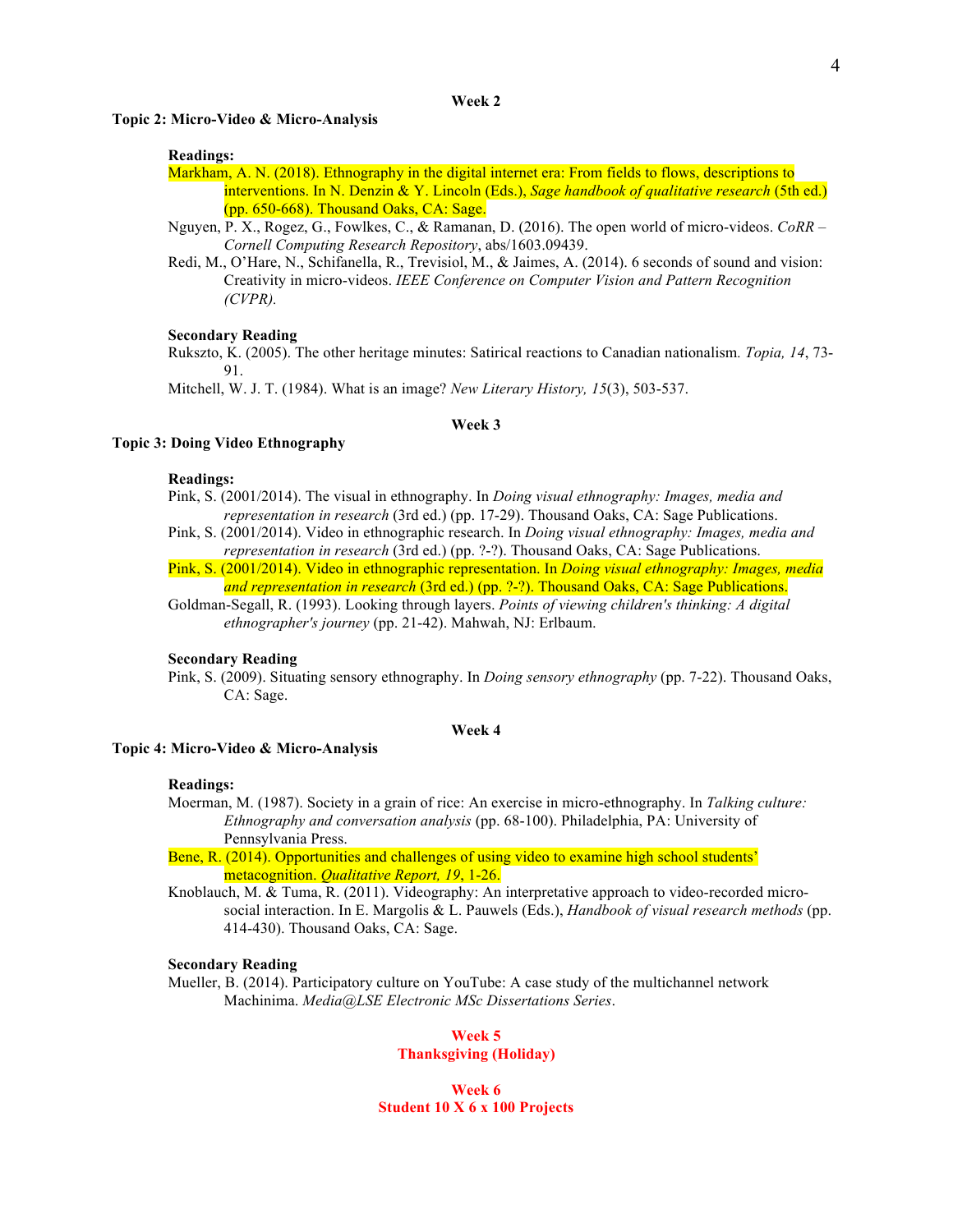**Topic 2: Micro-Video & Micro-Analysis**

## **Readings:**

Markham, A. N. (2018). Ethnography in the digital internet era: From fields to flows, descriptions to interventions. In N. Denzin & Y. Lincoln (Eds.), *Sage handbook of qualitative research* (5th ed.) (pp. 650-668). Thousand Oaks, CA: Sage.

- Nguyen, P. X., Rogez, G., Fowlkes, C., & Ramanan, D. (2016). The open world of micro-videos. *CoRR – Cornell Computing Research Repository*, abs/1603.09439.
- Redi, M., O'Hare, N., Schifanella, R., Trevisiol, M., & Jaimes, A. (2014). 6 seconds of sound and vision: Creativity in micro-videos. *IEEE Conference on Computer Vision and Pattern Recognition (CVPR).*

#### **Secondary Reading**

Rukszto, K. (2005). The other heritage minutes: Satirical reactions to Canadian nationalism*. Topia, 14*, 73- 91.

Mitchell, W. J. T. (1984). What is an image? *New Literary History, 15*(3), 503-537.

#### **Week 3**

#### **Topic 3: Doing Video Ethnography**

#### **Readings:**

- Pink, S. (2001/2014). The visual in ethnography. In *Doing visual ethnography: Images, media and representation in research* (3rd ed.) (pp. 17-29). Thousand Oaks, CA: Sage Publications.
- Pink, S. (2001/2014). Video in ethnographic research. In *Doing visual ethnography: Images, media and representation in research* (3rd ed.) (pp. ?-?). Thousand Oaks, CA: Sage Publications.
- Pink, S. (2001/2014). Video in ethnographic representation. In *Doing visual ethnography: Images, media and representation in research* (3rd ed.) (pp. ?-?). Thousand Oaks, CA: Sage Publications.

Goldman-Segall, R. (1993). Looking through layers. *Points of viewing children's thinking: A digital ethnographer's journey* (pp. 21-42). Mahwah, NJ: Erlbaum.

#### **Secondary Reading**

Pink, S. (2009). Situating sensory ethnography. In *Doing sensory ethnography* (pp. 7-22). Thousand Oaks, CA: Sage.

### **Week 4**

## **Topic 4: Micro-Video & Micro-Analysis**

#### **Readings:**

- Moerman, M. (1987). Society in a grain of rice: An exercise in micro-ethnography. In *Talking culture: Ethnography and conversation analysis* (pp. 68-100). Philadelphia, PA: University of Pennsylvania Press.
- Bene, R. (2014). Opportunities and challenges of using video to examine high school students' metacognition. *Qualitative Report, 19*, 1-26.
- Knoblauch, M. & Tuma, R. (2011). Videography: An interpretative approach to video-recorded microsocial interaction. In E. Margolis & L. Pauwels (Eds.), *Handbook of visual research methods* (pp. 414-430). Thousand Oaks, CA: Sage.

#### **Secondary Reading**

Mueller, B. (2014). Participatory culture on YouTube: A case study of the multichannel network Machinima. *Media@LSE Electronic MSc Dissertations Series*.

## **Week 5**

## **Thanksgiving (Holiday)**

**Week 6 Student 10 X 6 x 100 Projects**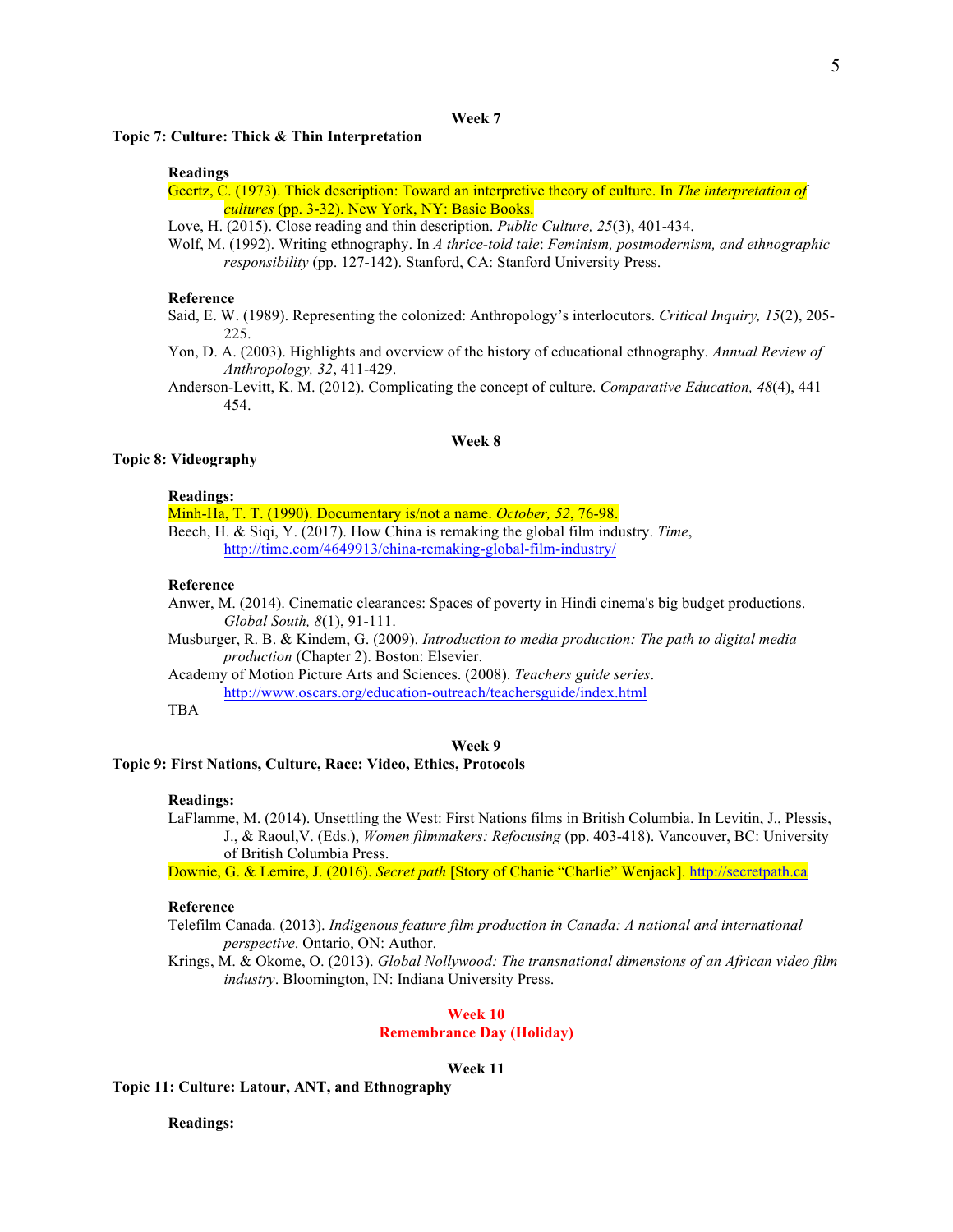#### **Week 7**

### **Topic 7: Culture: Thick & Thin Interpretation**

#### **Readings**

Geertz, C. (1973). Thick description: Toward an interpretive theory of culture. In *The interpretation of cultures* (pp. 3-32). New York, NY: Basic Books.

Love, H. (2015). Close reading and thin description. *Public Culture, 25*(3), 401-434.

Wolf, M. (1992). Writing ethnography. In *A thrice-told tale*: *Feminism, postmodernism, and ethnographic responsibility* (pp. 127-142). Stanford, CA: Stanford University Press.

#### **Reference**

- Said, E. W. (1989). Representing the colonized: Anthropology's interlocutors. *Critical Inquiry, 15*(2), 205- 225.
- Yon, D. A. (2003). Highlights and overview of the history of educational ethnography. *Annual Review of Anthropology, 32*, 411-429.

Anderson-Levitt, K. M. (2012). Complicating the concept of culture. *Comparative Education, 48*(4), 441– 454.

### **Week 8**

## **Topic 8: Videography**

### **Readings:**

Minh-Ha, T. T. (1990). Documentary is/not a name. *October, 52*, 76-98. Beech, H. & Siqi, Y. (2017). How China is remaking the global film industry. *Time*,

http://time.com/4649913/china-remaking-global-film-industry/

#### **Reference**

Anwer, M. (2014). Cinematic clearances: Spaces of poverty in Hindi cinema's big budget productions. *Global South, 8*(1), 91-111.

Musburger, R. B. & Kindem, G. (2009). *Introduction to media production: The path to digital media production* (Chapter 2). Boston: Elsevier.

Academy of Motion Picture Arts and Sciences. (2008). *Teachers guide series*. http://www.oscars.org/education-outreach/teachersguide/index.html

TBA

#### **Week 9**

#### **Topic 9: First Nations, Culture, Race: Video, Ethics, Protocols**

#### **Readings:**

LaFlamme, M. (2014). Unsettling the West: First Nations films in British Columbia. In Levitin, J., Plessis, J., & Raoul,V. (Eds.), *Women filmmakers: Refocusing* (pp. 403-418). Vancouver, BC: University of British Columbia Press.

Downie, G. & Lemire, J. (2016). *Secret path* [Story of Chanie "Charlie" Wenjack]. http://secretpath.ca

#### **Reference**

Telefilm Canada. (2013). *Indigenous feature film production in Canada: A national and international perspective*. Ontario, ON: Author.

Krings, M. & Okome, O. (2013). *Global Nollywood: The transnational dimensions of an African video film industry*. Bloomington, IN: Indiana University Press.

#### **Week 10**

## **Remembrance Day (Holiday)**

## **Week 11**

**Topic 11: Culture: Latour, ANT, and Ethnography**

**Readings:**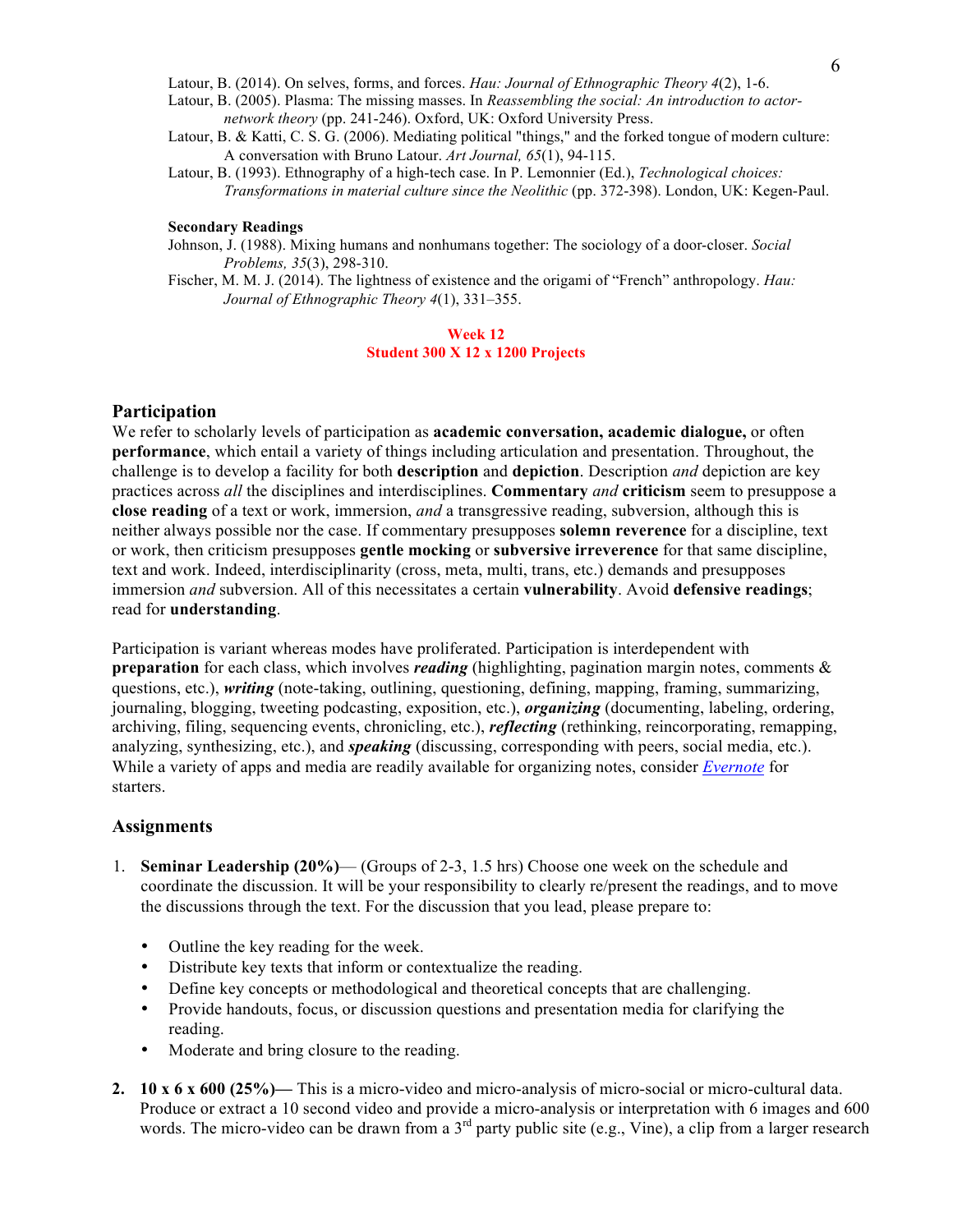Latour, B. (2014). On selves, forms, and forces. *Hau: Journal of Ethnographic Theory 4*(2), 1-6.

- Latour, B. (2005). Plasma: The missing masses. In *Reassembling the social: An introduction to actornetwork theory* (pp. 241-246). Oxford, UK: Oxford University Press.
- Latour, B. & Katti, C. S. G. (2006). Mediating political "things," and the forked tongue of modern culture: A conversation with Bruno Latour. *Art Journal, 65*(1), 94-115.
- Latour, B. (1993). Ethnography of a high-tech case. In P. Lemonnier (Ed.), *Technological choices: Transformations in material culture since the Neolithic* (pp. 372-398). London, UK: Kegen-Paul.

## **Secondary Readings**

Johnson, J. (1988). Mixing humans and nonhumans together: The sociology of a door-closer. *Social Problems, 35*(3), 298-310.

Fischer, M. M. J. (2014). The lightness of existence and the origami of "French" anthropology. *Hau: Journal of Ethnographic Theory 4*(1), 331–355.

### **Week 12 Student 300 X 12 x 1200 Projects**

## **Participation**

We refer to scholarly levels of participation as **academic conversation, academic dialogue,** or often **performance**, which entail a variety of things including articulation and presentation. Throughout, the challenge is to develop a facility for both **description** and **depiction**. Description *and* depiction are key practices across *all* the disciplines and interdisciplines. **Commentary** *and* **criticism** seem to presuppose a **close reading** of a text or work, immersion, *and* a transgressive reading, subversion, although this is neither always possible nor the case. If commentary presupposes **solemn reverence** for a discipline, text or work, then criticism presupposes **gentle mocking** or **subversive irreverence** for that same discipline, text and work. Indeed, interdisciplinarity (cross, meta, multi, trans, etc.) demands and presupposes immersion *and* subversion. All of this necessitates a certain **vulnerability**. Avoid **defensive readings**; read for **understanding**.

Participation is variant whereas modes have proliferated. Participation is interdependent with **preparation** for each class, which involves *reading* (highlighting, pagination margin notes, comments & questions, etc.), *writing* (note-taking, outlining, questioning, defining, mapping, framing, summarizing, journaling, blogging, tweeting podcasting, exposition, etc.), *organizing* (documenting, labeling, ordering, archiving, filing, sequencing events, chronicling, etc.), *reflecting* (rethinking, reincorporating, remapping, analyzing, synthesizing, etc.), and *speaking* (discussing, corresponding with peers, social media, etc.). While a variety of apps and media are readily available for organizing notes, consider *Evernote* for starters.

### **Assignments**

- 1. **Seminar Leadership (20%)** (Groups of 2-3, 1.5 hrs) Choose one week on the schedule and coordinate the discussion. It will be your responsibility to clearly re/present the readings, and to move the discussions through the text. For the discussion that you lead, please prepare to:
	- Outline the key reading for the week.
	- Distribute key texts that inform or contextualize the reading.
	- Define key concepts or methodological and theoretical concepts that are challenging.
	- Provide handouts, focus, or discussion questions and presentation media for clarifying the reading.
	- Moderate and bring closure to the reading.
- **2. 10 x 6 x 600 (25%)—** This is a micro-video and micro-analysis of micro-social or micro-cultural data. Produce or extract a 10 second video and provide a micro-analysis or interpretation with 6 images and 600 words. The micro-video can be drawn from a 3<sup>rd</sup> party public site (e.g., Vine), a clip from a larger research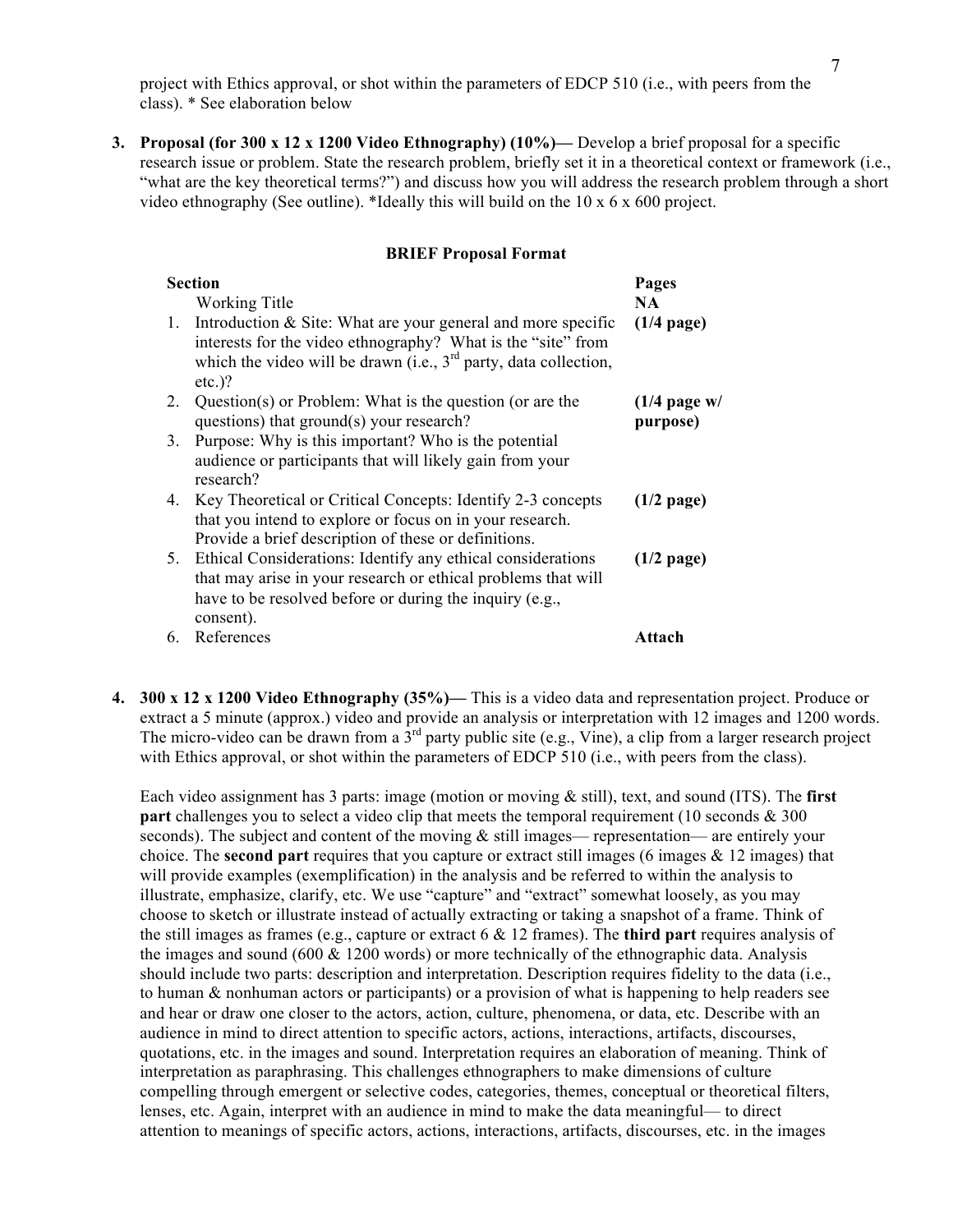project with Ethics approval, or shot within the parameters of EDCP 510 (i.e., with peers from the class). \* See elaboration below

**3. Proposal (for 300 x 12 x 1200 Video Ethnography) (10%)—** Develop a brief proposal for a specific research issue or problem. State the research problem, briefly set it in a theoretical context or framework (i.e., "what are the key theoretical terms?") and discuss how you will address the research problem through a short video ethnography (See outline). \*Ideally this will build on the  $10 \times 6 \times 600$  project.

## **BRIEF Proposal Format**

| <b>Section</b> | Pages                                                                                                                                                                                                             |                            |
|----------------|-------------------------------------------------------------------------------------------------------------------------------------------------------------------------------------------------------------------|----------------------------|
|                | Working Title                                                                                                                                                                                                     | NA.                        |
| 1.             | Introduction $&$ Site: What are your general and more specific<br>interests for the video ethnography? What is the "site" from<br>which the video will be drawn (i.e., $3rd$ party, data collection,<br>$etc.$ )? | $(1/4$ page)               |
| 2.             | Question(s) or Problem: What is the question (or are the<br>questions) that ground(s) your research?                                                                                                              | $(1/4$ page w/<br>purpose) |
| 3.             | Purpose: Why is this important? Who is the potential<br>audience or participants that will likely gain from your<br>research?                                                                                     |                            |
| 4.             | Key Theoretical or Critical Concepts: Identify 2-3 concepts<br>that you intend to explore or focus on in your research.<br>Provide a brief description of these or definitions.                                   | $(1/2$ page)               |
| 5.             | Ethical Considerations: Identify any ethical considerations<br>that may arise in your research or ethical problems that will<br>have to be resolved before or during the inquiry (e.g.,<br>consent).              | $(1/2$ page)               |
| 6.             | References                                                                                                                                                                                                        | Attach                     |

**4. 300 x 12 x 1200 Video Ethnography (35%)—** This is a video data and representation project. Produce or extract a 5 minute (approx.) video and provide an analysis or interpretation with 12 images and 1200 words. The micro-video can be drawn from a  $3<sup>rd</sup>$  party public site (e.g., Vine), a clip from a larger research project with Ethics approval, or shot within the parameters of EDCP 510 (i.e., with peers from the class).

Each video assignment has 3 parts: image (motion or moving & still), text, and sound (ITS). The **first part** challenges you to select a video clip that meets the temporal requirement (10 seconds & 300 seconds). The subject and content of the moving  $\&$  still images— representation— are entirely your choice. The **second part** requires that you capture or extract still images (6 images & 12 images) that will provide examples (exemplification) in the analysis and be referred to within the analysis to illustrate, emphasize, clarify, etc. We use "capture" and "extract" somewhat loosely, as you may choose to sketch or illustrate instead of actually extracting or taking a snapshot of a frame. Think of the still images as frames (e.g., capture or extract 6 & 12 frames). The **third part** requires analysis of the images and sound (600  $& 1200$  words) or more technically of the ethnographic data. Analysis should include two parts: description and interpretation. Description requires fidelity to the data (i.e., to human & nonhuman actors or participants) or a provision of what is happening to help readers see and hear or draw one closer to the actors, action, culture, phenomena, or data, etc. Describe with an audience in mind to direct attention to specific actors, actions, interactions, artifacts, discourses, quotations, etc. in the images and sound. Interpretation requires an elaboration of meaning. Think of interpretation as paraphrasing. This challenges ethnographers to make dimensions of culture compelling through emergent or selective codes, categories, themes, conceptual or theoretical filters, lenses, etc. Again, interpret with an audience in mind to make the data meaningful— to direct attention to meanings of specific actors, actions, interactions, artifacts, discourses, etc. in the images